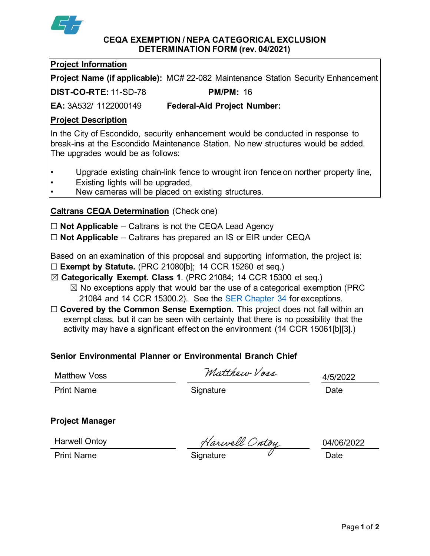

#### **CEQA EXEMPTION / NEPA CATEGORICAL EXCLUSION DETERMINATION FORM (rev. 04/2021)**

## **Project Information**

**Project Name (if applicable):** MC# 22-082 Maintenance Station Security Enhancement

**DIST-CO-RTE:** 11-SD-78 **PM/PM:** 16

**EA:** 3A532/ 1122000149 **Federal-Aid Project Number:**

## **Project Description**

In the City of Escondido, security enhancement would be conducted in response to break-ins at the Escondido Maintenance Station. No new structures would be added. The upgrades would be as follows:

- Upgrade existing chain-link fence to wrought iron fence on norther property line,
- Existing lights will be upgraded,
- New cameras will be placed on existing structures.

# **Caltrans CEQA Determination** (Check one)

☐ **Not Applicable** – Caltrans is not the CEQA Lead Agency

☐ **Not Applicable** – Caltrans has prepared an IS or EIR under CEQA

Based on an examination of this proposal and supporting information, the project is:

- ☐ **Exempt by Statute.** (PRC 21080[b]; 14 CCR 15260 et seq.)
- ☒ **Categorically Exempt. Class 1**. (PRC 21084; 14 CCR 15300 et seq.)
	- $\boxtimes$  No exceptions apply that would bar the use of a categorical exemption (PRC 21084 and 14 CCR 15300.2). See the [SER Chapter 34](https://dot.ca.gov/programs/environmental-analysis/standard-environmental-reference-ser/volume-1-guidance-for-compliance/ch-34-exemptions-to-ceqa#except) for exceptions.
- □ **Covered by the Common Sense Exemption**. This project does not fall within an exempt class, but it can be seen with certainty that there is no possibility that the activity may have a significant effect on the environment (14 CCR 15061[b][3].)

# **Senior Environmental Planner or Environmental Branch Chief**

Matthew Voss

Matthour Vors

4/5/2022

Print Name **Signature** Signature Date

### **Project Manager**

Harwell Ontoy

Harwell Ontoy<br>Print Name **Signature** Signature Date

04/06/2022